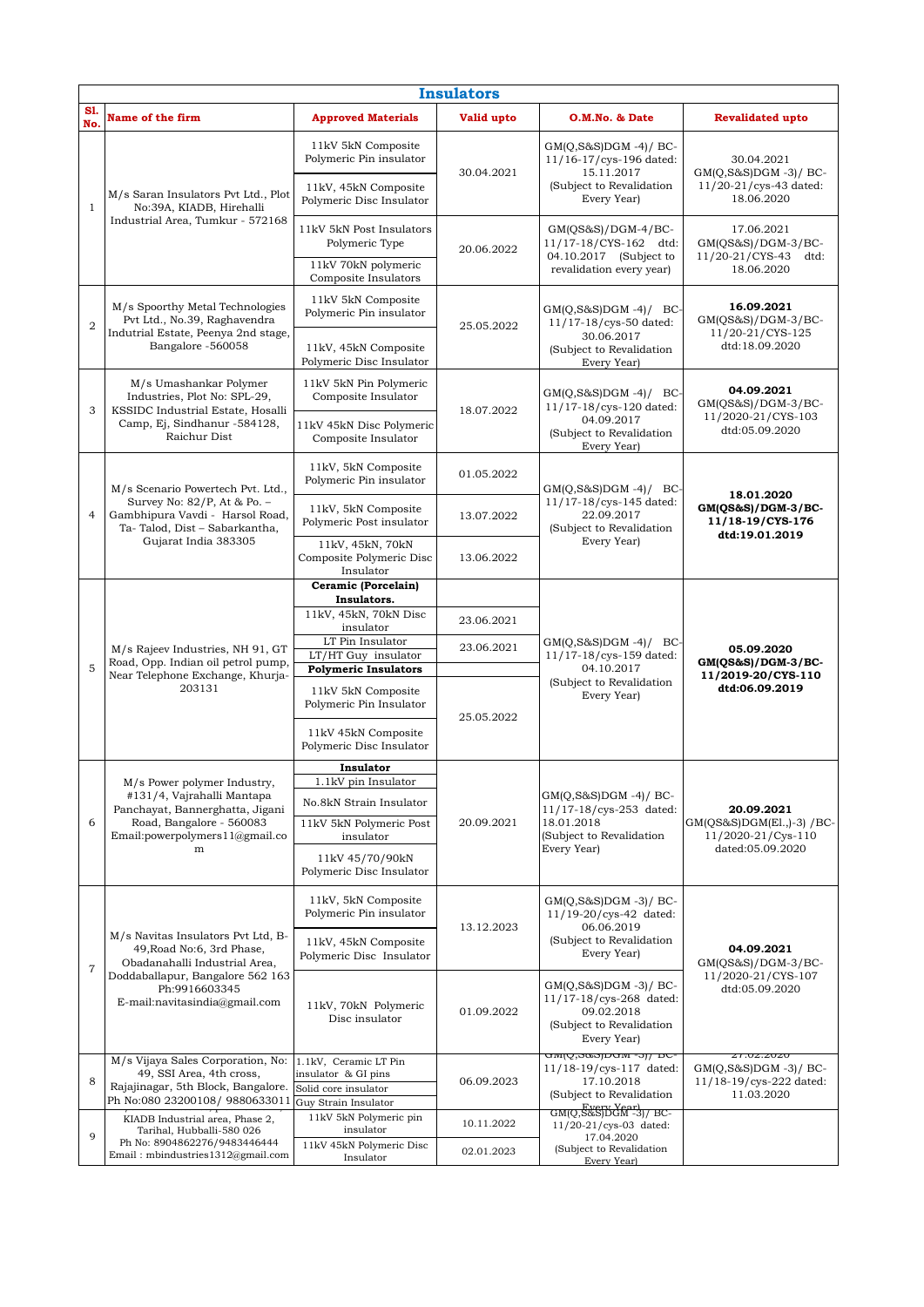|                | <b>Insulators</b>                                                                                                                                                                      |                                                                                                                                                    |                                        |                                                                                                                              |                                                                                    |  |  |  |  |
|----------------|----------------------------------------------------------------------------------------------------------------------------------------------------------------------------------------|----------------------------------------------------------------------------------------------------------------------------------------------------|----------------------------------------|------------------------------------------------------------------------------------------------------------------------------|------------------------------------------------------------------------------------|--|--|--|--|
| S1.<br>No.     | Name of the firm                                                                                                                                                                       | <b>Approved Materials</b>                                                                                                                          | Valid upto                             | O.M.No. & Date                                                                                                               | <b>Revalidated upto</b>                                                            |  |  |  |  |
| $1\,$          | M/s Saran Insulators Pvt Ltd., Plot<br>No:39A, KIADB, Hirehalli<br>Industrial Area, Tumkur - 572168                                                                                    | 11kV 5kN Composite<br>Polymeric Pin insulator<br>11kV, 45kN Composite<br>Polymeric Disc Insulator                                                  | 30.04.2021                             | $GM(Q,S&S)DGM -4)/BC$<br>11/16-17/cys-196 dated:<br>15.11.2017<br>(Subject to Revalidation<br>Every Year)                    | 30.04.2021<br>GM(Q,S&S)DGM-3)/BC-<br>11/20-21/cys-43 dated:<br>18.06.2020          |  |  |  |  |
|                |                                                                                                                                                                                        | 11kV 5kN Post Insulators<br>Polymeric Type<br>11kV 70kN polymeric<br>Composite Insulators                                                          | 20.06.2022                             | $GM(QS&S)/DGM-4/BC-$<br>11/17-18/CYS-162 dtd:<br>04.10.2017 (Subject to<br>revalidation every year)                          | 17.06.2021<br>$GM(QS&S)/DGM-3/BC-$<br>11/20-21/CYS-43 dtd:<br>18.06.2020           |  |  |  |  |
| $\overline{2}$ | M/s Spoorthy Metal Technologies<br>Pvt Ltd., No.39, Raghavendra<br>Indutrial Estate, Peenya 2nd stage,<br>Bangalore -560058                                                            | 11kV 5kN Composite<br>Polymeric Pin insulator<br>11kV, 45kN Composite<br>Polymeric Disc Insulator                                                  | 25.05.2022                             | $GM(Q, S\&S)DGM -4)/BC$<br>11/17-18/cys-50 dated:<br>30.06.2017<br>(Subject to Revalidation                                  | 16.09.2021<br>$GM(QS&S)/DGM-3/BC-$<br>11/20-21/CYS-125<br>dtd:18.09.2020           |  |  |  |  |
| 3              | M/s Umashankar Polymer<br>Industries, Plot No: SPL-29,<br>KSSIDC Industrial Estate, Hosalli<br>Camp, Ej, Sindhanur -584128,<br>Raichur Dist                                            | 11kV 5kN Pin Polymeric<br>Composite Insulator<br>11kV 45kN Disc Polymeric<br>Composite Insulator                                                   | 18.07.2022                             | Every Year)<br>$GM(Q, S\&S)DGM -4)/$ BC-<br>11/17-18/cys-120 dated:<br>04.09.2017<br>(Subject to Revalidation<br>Every Year) | 04.09.2021<br>$GM(QS&S)/DGM-3/BC-$<br>11/2020-21/CYS-103<br>dtd:05.09.2020         |  |  |  |  |
| $\overline{4}$ | M/s Scenario Powertech Pvt. Ltd.,<br>Survey No: 82/P, At & Po. -<br>Gambhipura Vavdi - Harsol Road,<br>Ta-Talod, Dist - Sabarkantha,<br>Gujarat India 383305                           | 11kV, 5kN Composite<br>Polymeric Pin insulator<br>11kV, 5kN Composite<br>Polymeric Post insulator<br>11kV, 45kN, 70kN<br>Composite Polymeric Disc  | 01.05.2022<br>13.07.2022<br>13.06.2022 | $GM(Q, S\&S)DGM -4)/BC$<br>11/17-18/cys-145 dated:<br>22.09.2017<br>(Subject to Revalidation<br>Every Year)                  | 18.01.2020<br>$GM(QS&S)/DGM-3/BC-$<br>11/18-19/CYS-176<br>dtd:19.01.2019           |  |  |  |  |
| 5              | M/s Rajeev Industries, NH 91, GT<br>Road, Opp. Indian oil petrol pump,<br>Near Telephone Exchange, Khurja-<br>203131                                                                   | Insulator<br>Ceramic (Porcelain)<br>Insulators.                                                                                                    |                                        |                                                                                                                              | 05.09.2020<br>GM(QS&S)/DGM-3/BC-<br>11/2019-20/CYS-110<br>dtd:06.09.2019           |  |  |  |  |
|                |                                                                                                                                                                                        | 11kV, 45kN, 70kN Disc<br>insulator<br>LT Pin Insulator<br>LT/HT Guy insulator<br><b>Polymeric Insulators</b>                                       | 23.06.2021<br>23.06.2021               | $GM(Q, S\&S)DGM -4)/BC$<br>11/17-18/cys-159 dated:<br>04.10.2017                                                             |                                                                                    |  |  |  |  |
|                |                                                                                                                                                                                        | 11kV 5kN Composite<br>Polymeric Pin Insulator<br>11kV 45kN Composite<br>Polymeric Disc Insulator                                                   | 25.05.2022                             | (Subject to Revalidation<br>Every Year)                                                                                      |                                                                                    |  |  |  |  |
| 6              | M/s Power polymer Industry,<br>#131/4, Vajrahalli Mantapa<br>Panchayat, Bannerghatta, Jigani<br>Road, Bangalore - 560083<br>Email: powerpolymers $11$ ( $@$ gmail.co<br>${\rm m}$      | Insulator<br>1.1kV pin Insulator<br>No.8kN Strain Insulator<br>11kV 5kN Polymeric Post<br>insulator<br>11kV 45/70/90kN<br>Polymeric Disc Insulator | 20.09.2021                             | $GM(Q,S&S)DGM -4)/BC-$<br>11/17-18/cys-253 dated:<br>18.01.2018<br>(Subject to Revalidation<br>Every Year)                   | 20.09.2021<br>GM(QS&S)DGM(El.,)-3) / BC-<br>11/2020-21/Cys-110<br>dated:05.09.2020 |  |  |  |  |
| $\overline{7}$ | M/s Navitas Insulators Pvt Ltd, B-<br>49, Road No:6, 3rd Phase,<br>Obadanahalli Industrial Area,<br>Doddaballapur, Bangalore 562 163<br>Ph:9916603345<br>E-mail:navitasindia@gmail.com | 11kV, 5kN Composite<br>Polymeric Pin insulator<br>11kV, 45kN Composite<br>Polymeric Disc Insulator                                                 | 13.12.2023                             | GM(O,S&S)DGM -3)/ BC-<br>11/19-20/cys-42 dated:<br>06.06.2019<br>(Subject to Revalidation<br>Every Year)                     | 04.09.2021<br>GM(QS&S)/DGM-3/BC-                                                   |  |  |  |  |
|                |                                                                                                                                                                                        | 11kV, 70kN Polymeric<br>Disc insulator                                                                                                             | 01.09.2022                             | $GM(Q,S&S)DGM -3)/BC$<br>11/17-18/cys-268 dated:<br>09.02.2018<br>(Subject to Revalidation<br>Every Year)                    | 11/2020-21/CYS-107<br>dtd:05.09.2020                                               |  |  |  |  |
| 8              | M/s Vijaya Sales Corporation, No:<br>49, SSI Area, 4th cross,<br>Rajajinagar, 5th Block, Bangalore.<br>Ph No:080 23200108/ 9880633011                                                  | 1.1kV, Ceramic LT Pin<br>insulator & GI pins<br>Solid core insulator<br>Guy Strain Insulator                                                       | 06.09.2023                             | <u> ਰਾਅਦ੍ਰਿ,ਡਲਡ)ਹਾਰਆ -əj/ ਰਾਟ-</u><br>11/18-19/cys-117 dated:<br>17.10.2018<br>(Subject to Revalidation                      | 21.02.2020<br>$GM(Q,S&S)DGM -3)/BC$<br>11/18-19/cys-222 dated:<br>11.03.2020       |  |  |  |  |
|                | KIADB Industrial area, Phase 2,<br>Tarihal, Hubballi-580 026<br>Ph No: 8904862276/9483446444<br>Email: mbindustries1312@gmail.com                                                      | 11kV 5kN Polymeric pin<br>insulator                                                                                                                | 10.11.2022                             | <u>GMIQ, ਨੈੱ&amp; SJDGੱ ਸੀ -31/ BC-</u><br>11/20-21/cys-03 dated:                                                            |                                                                                    |  |  |  |  |
| 9              |                                                                                                                                                                                        | 11kV 45kN Polymeric Disc<br>Insulator                                                                                                              | 02.01.2023                             | 17.04.2020<br>(Subject to Revalidation<br>Every Yearl                                                                        |                                                                                    |  |  |  |  |